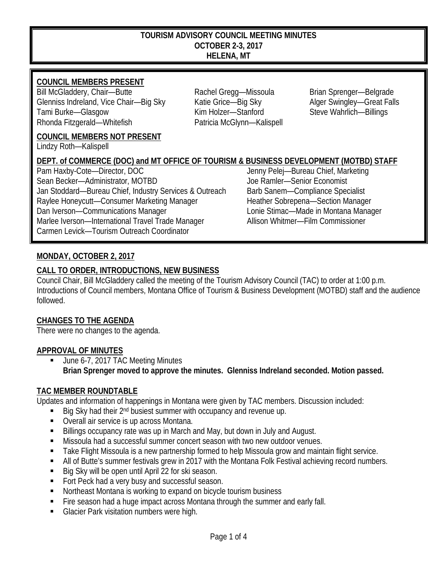#### **TOURISM ADVISORY COUNCIL MEETING MINUTES OCTOBER 2-3, 2017 HELENA, MT**

### **COUNCIL MEMBERS PRESENT**

Bill McGladdery, Chair—Butte **Rachel Gregg—Missoula** Brian Sprenger—Belgrade Glenniss Indreland, Vice Chair—Big Sky Katie Grice—Big Sky Alger Swingley—Great Falls Tami Burke—Glasgow Kim Holzer—Stanford Steve Wahrlich—Billings Rhonda Fitzgerald—Whitefish Patricia McGlynn—Kalispell

**COUNCIL MEMBERS NOT PRESENT**

Lindzy Roth—Kalispell

# **DEPT. of COMMERCE (DOC) and MT OFFICE OF TOURISM & BUSINESS DEVELOPMENT (MOTBD) STAFF**

Pam Haxby-Cote—Director, DOC and the state of the state of the Jenny Pelej—Bureau Chief, Marketing<br>
Sean Becker—Administrator, MOTBD and Joe Ramler—Senior Economist Sean Becker—Administrator, MOTBD Jan Stoddard—Bureau Chief, Industry Services & Outreach Barb Sanem—Compliance Specialist Raylee Honeycutt—Consumer Marketing Manager Heather Sobrepena—Section Manager Dan Iverson—Communications Manager Lonie Stimac—Made in Montana Manager Marlee Iverson—International Travel Trade Manager Allison Whitmer—Film Commissioner Carmen Levick—Tourism Outreach Coordinator

## **MONDAY, OCTOBER 2, 2017**

#### **CALL TO ORDER, INTRODUCTIONS, NEW BUSINESS**

Council Chair, Bill McGladdery called the meeting of the Tourism Advisory Council (TAC) to order at 1:00 p.m. Introductions of Council members, Montana Office of Tourism & Business Development (MOTBD) staff and the audience followed.

#### **CHANGES TO THE AGENDA**

There were no changes to the agenda.

#### **APPROVAL OF MINUTES**

 June 6-7, 2017 TAC Meeting Minutes **Brian Sprenger moved to approve the minutes. Glenniss Indreland seconded. Motion passed.**

#### **TAC MEMBER ROUNDTABLE**

Updates and information of happenings in Montana were given by TAC members. Discussion included:

- Big Sky had their 2nd busiest summer with occupancy and revenue up.
- Overall air service is up across Montana.
- Billings occupancy rate was up in March and May, but down in July and August.
- Missoula had a successful summer concert season with two new outdoor venues.
- **Take Flight Missoula is a new partnership formed to help Missoula grow and maintain flight service.**
- All of Butte's summer festivals grew in 2017 with the Montana Folk Festival achieving record numbers.
- Big Sky will be open until April 22 for ski season.
- Fort Peck had a very busy and successful season.
- Northeast Montana is working to expand on bicycle tourism business
- Fire season had a huge impact across Montana through the summer and early fall.
- Glacier Park visitation numbers were high.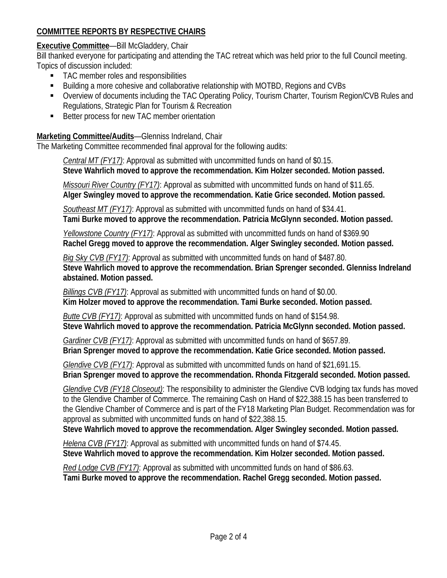# **COMMITTEE REPORTS BY RESPECTIVE CHAIRS**

### **Executive Committee**—Bill McGladdery, Chair

Bill thanked everyone for participating and attending the TAC retreat which was held prior to the full Council meeting. Topics of discussion included:

- TAC member roles and responsibilities
- Building a more cohesive and collaborative relationship with MOTBD, Regions and CVBs
- Overview of documents including the TAC Operating Policy, Tourism Charter, Tourism Region/CVB Rules and Regulations, Strategic Plan for Tourism & Recreation
- **Better process for new TAC member orientation**

### **Marketing Committee/Audits**—Glenniss Indreland, Chair

The Marketing Committee recommended final approval for the following audits:

*Central MT (FY17)*: Approval as submitted with uncommitted funds on hand of \$0.15. **Steve Wahrlich moved to approve the recommendation. Kim Holzer seconded. Motion passed.**

*Missouri River Country (FY17)*: Approval as submitted with uncommitted funds on hand of \$11.65. **Alger Swingley moved to approve the recommendation. Katie Grice seconded. Motion passed.**

*Southeast MT (FY17)*: Approval as submitted with uncommitted funds on hand of \$34.41. **Tami Burke moved to approve the recommendation. Patricia McGlynn seconded. Motion passed.**

*Yellowstone Country (FY17)*: Approval as submitted with uncommitted funds on hand of \$369.90 **Rachel Gregg moved to approve the recommendation. Alger Swingley seconded. Motion passed.**

*Big Sky CVB (FY17)*: Approval as submitted with uncommitted funds on hand of \$487.80. **Steve Wahrlich moved to approve the recommendation. Brian Sprenger seconded. Glenniss Indreland abstained. Motion passed.**

*Billings CVB (FY17)*: Approval as submitted with uncommitted funds on hand of \$0.00. **Kim Holzer moved to approve the recommendation. Tami Burke seconded. Motion passed.**

*Butte CVB (FY17)*: Approval as submitted with uncommitted funds on hand of \$154.98. **Steve Wahrlich moved to approve the recommendation. Patricia McGlynn seconded. Motion passed.**

*Gardiner CVB (FY17)*: Approval as submitted with uncommitted funds on hand of \$657.89. **Brian Sprenger moved to approve the recommendation. Katie Grice seconded. Motion passed.**

*Glendive CVB (FY17)*: Approval as submitted with uncommitted funds on hand of \$21,691.15. **Brian Sprenger moved to approve the recommendation. Rhonda Fitzgerald seconded. Motion passed.**

*Glendive CVB (FY18 Closeout)*: The responsibility to administer the Glendive CVB lodging tax funds has moved to the Glendive Chamber of Commerce. The remaining Cash on Hand of \$22,388.15 has been transferred to the Glendive Chamber of Commerce and is part of the FY18 Marketing Plan Budget. Recommendation was for approval as submitted with uncommitted funds on hand of \$22,388.15.

**Steve Wahrlich moved to approve the recommendation. Alger Swingley seconded. Motion passed.**

*Helena CVB (FY17)*: Approval as submitted with uncommitted funds on hand of \$74.45. **Steve Wahrlich moved to approve the recommendation. Kim Holzer seconded. Motion passed.**

*Red Lodge CVB (FY17)*: Approval as submitted with uncommitted funds on hand of \$86.63. **Tami Burke moved to approve the recommendation. Rachel Gregg seconded. Motion passed.**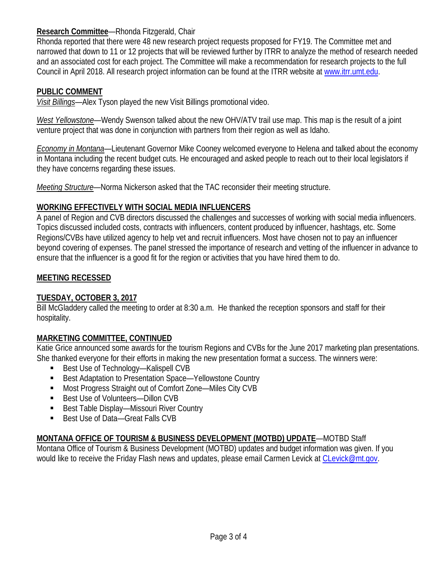### **Research Committee**—Rhonda Fitzgerald, Chair

Rhonda reported that there were 48 new research project requests proposed for FY19. The Committee met and narrowed that down to 11 or 12 projects that will be reviewed further by ITRR to analyze the method of research needed and an associated cost for each project. The Committee will make a recommendation for research projects to the full Council in April 2018. All research project information can be found at the ITRR website at [www.itrr.umt.edu.](http://www.itrr.umt.edu/)

### **PUBLIC COMMENT**

*Visit Billings*—Alex Tyson played the new Visit Billings promotional video.

*West Yellowstone*—Wendy Swenson talked about the new OHV/ATV trail use map. This map is the result of a joint venture project that was done in conjunction with partners from their region as well as Idaho.

*Economy in Montana*—Lieutenant Governor Mike Cooney welcomed everyone to Helena and talked about the economy in Montana including the recent budget cuts. He encouraged and asked people to reach out to their local legislators if they have concerns regarding these issues.

*Meeting Structure*—Norma Nickerson asked that the TAC reconsider their meeting structure.

#### **WORKING EFFECTIVELY WITH SOCIAL MEDIA INFLUENCERS**

A panel of Region and CVB directors discussed the challenges and successes of working with social media influencers. Topics discussed included costs, contracts with influencers, content produced by influencer, hashtags, etc. Some Regions/CVBs have utilized agency to help vet and recruit influencers. Most have chosen not to pay an influencer beyond covering of expenses. The panel stressed the importance of research and vetting of the influencer in advance to ensure that the influencer is a good fit for the region or activities that you have hired them to do.

#### **MEETING RECESSED**

#### **TUESDAY, OCTOBER 3, 2017**

Bill McGladdery called the meeting to order at 8:30 a.m. He thanked the reception sponsors and staff for their hospitality.

#### **MARKETING COMMITTEE, CONTINUED**

Katie Grice announced some awards for the tourism Regions and CVBs for the June 2017 marketing plan presentations. She thanked everyone for their efforts in making the new presentation format a success. The winners were:

- Best Use of Technology—Kalispell CVB
- Best Adaptation to Presentation Space—Yellowstone Country
- Most Progress Straight out of Comfort Zone—Miles City CVB
- Best Use of Volunteers—Dillon CVB
- Best Table Display—Missouri River Country
- Best Use of Data—Great Falls CVB

## **MONTANA OFFICE OF TOURISM & BUSINESS DEVELOPMENT (MOTBD) UPDATE**—MOTBD Staff

Montana Office of Tourism & Business Development (MOTBD) updates and budget information was given. If you would like to receive the Friday Flash news and updates, please email Carmen Levick at [CLevick@mt.gov.](mailto:CLevick@mt.gov)